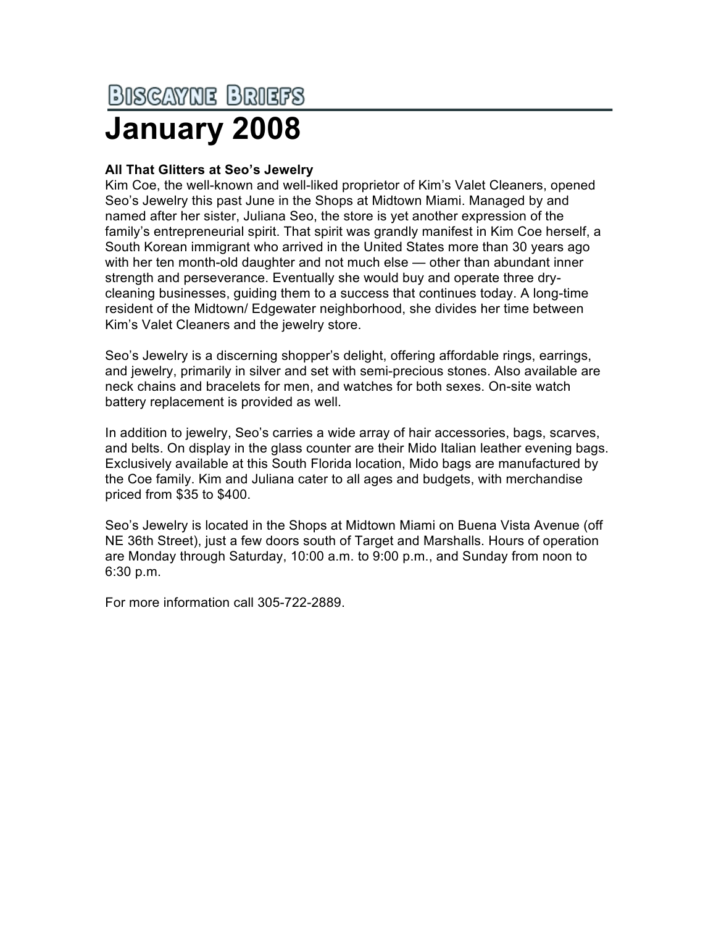## <u>BISCAYNE BRIEFS</u> **January 2008**

## **All That Glitters at Seo's Jewelry**

Kim Coe, the well-known and well-liked proprietor of Kim's Valet Cleaners, opened Seo's Jewelry this past June in the Shops at Midtown Miami. Managed by and named after her sister, Juliana Seo, the store is yet another expression of the family's entrepreneurial spirit. That spirit was grandly manifest in Kim Coe herself, a South Korean immigrant who arrived in the United States more than 30 years ago with her ten month-old daughter and not much else — other than abundant inner strength and perseverance. Eventually she would buy and operate three drycleaning businesses, guiding them to a success that continues today. A long-time resident of the Midtown/ Edgewater neighborhood, she divides her time between Kim's Valet Cleaners and the jewelry store.

Seo's Jewelry is a discerning shopper's delight, offering affordable rings, earrings, and jewelry, primarily in silver and set with semi-precious stones. Also available are neck chains and bracelets for men, and watches for both sexes. On-site watch battery replacement is provided as well.

In addition to jewelry, Seo's carries a wide array of hair accessories, bags, scarves, and belts. On display in the glass counter are their Mido Italian leather evening bags. Exclusively available at this South Florida location, Mido bags are manufactured by the Coe family. Kim and Juliana cater to all ages and budgets, with merchandise priced from \$35 to \$400.

Seo's Jewelry is located in the Shops at Midtown Miami on Buena Vista Avenue (off NE 36th Street), just a few doors south of Target and Marshalls. Hours of operation are Monday through Saturday, 10:00 a.m. to 9:00 p.m., and Sunday from noon to 6:30 p.m.

For more information call 305-722-2889.